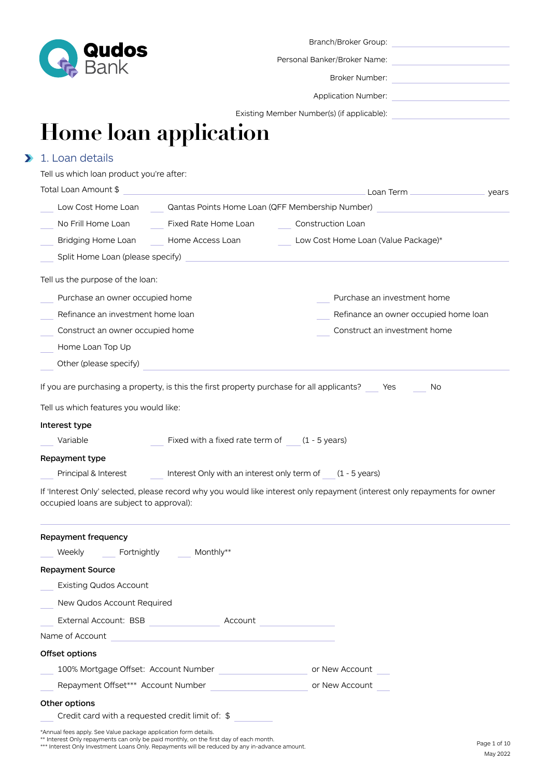

Personal Banker/Broker Name:

Broker Number:

Application Number:

Existing Member Number(s) (if applicable):

# **Home loan application**

# 1. Loan details

| Tell us which loan product you're after:                                                                                                                  |                                                                                                                      |                                                                                                                           |  |
|-----------------------------------------------------------------------------------------------------------------------------------------------------------|----------------------------------------------------------------------------------------------------------------------|---------------------------------------------------------------------------------------------------------------------------|--|
| Total Loan Amount \$                                                                                                                                      |                                                                                                                      |                                                                                                                           |  |
|                                                                                                                                                           | Low Cost Home Loan Qantas Points Home Loan (QFF Membership Number)                                                   |                                                                                                                           |  |
| No Frill Home Loan                                                                                                                                        | Fixed Rate Home Loan                                                                                                 | Construction Loan                                                                                                         |  |
| Bridging Home Loan                                                                                                                                        | Home Access Loan                                                                                                     | Low Cost Home Loan (Value Package)*                                                                                       |  |
| Split Home Loan (please specify)                                                                                                                          |                                                                                                                      |                                                                                                                           |  |
| Tell us the purpose of the loan:                                                                                                                          |                                                                                                                      |                                                                                                                           |  |
| Purchase an owner occupied home                                                                                                                           |                                                                                                                      | Purchase an investment home                                                                                               |  |
| Refinance an investment home loan                                                                                                                         |                                                                                                                      | Refinance an owner occupied home loan                                                                                     |  |
| Construct an owner occupied home                                                                                                                          |                                                                                                                      | Construct an investment home                                                                                              |  |
| Home Loan Top Up                                                                                                                                          |                                                                                                                      |                                                                                                                           |  |
| Other (please specify)                                                                                                                                    |                                                                                                                      |                                                                                                                           |  |
| Tell us which features you would like:<br>Interest type<br>Variable<br>Repayment type<br>Principal & Interest<br>occupied loans are subject to approval): | Fixed with a fixed rate term of $(1 - 5$ years)<br>Interest Only with an interest only term of $(1 - 5$ years)       | If 'Interest Only' selected, please record why you would like interest only repayment (interest only repayments for owner |  |
| Repayment frequency<br>Weekly<br>Fortnightly                                                                                                              | Monthly**                                                                                                            |                                                                                                                           |  |
| <b>Repayment Source</b>                                                                                                                                   |                                                                                                                      |                                                                                                                           |  |
| <b>Existing Qudos Account</b>                                                                                                                             |                                                                                                                      |                                                                                                                           |  |
| New Qudos Account Required                                                                                                                                |                                                                                                                      |                                                                                                                           |  |
|                                                                                                                                                           |                                                                                                                      |                                                                                                                           |  |
| Name of Account                                                                                                                                           | <u> 1989 - Johann Stein, marwolaethau a bhann an t-Amhair Aonaichte ann an t-Amhair Aonaichte ann an t-Amhair Ao</u> |                                                                                                                           |  |
| Offset options                                                                                                                                            |                                                                                                                      |                                                                                                                           |  |
| 100% Mortgage Offset: Account Number                                                                                                                      |                                                                                                                      | or New Account                                                                                                            |  |

Repayment Offset\*\*\* Account Number or New Account

#### Other options

Credit card with a requested credit limit of: \$

\*Annual fees apply. See Value package application form details.

\*\* Interest Only repayments can only be paid monthly, on the first day of each month.

\*\*\* Interest Only Investment Loans Only. Repayments will be reduced by any in-advance amount.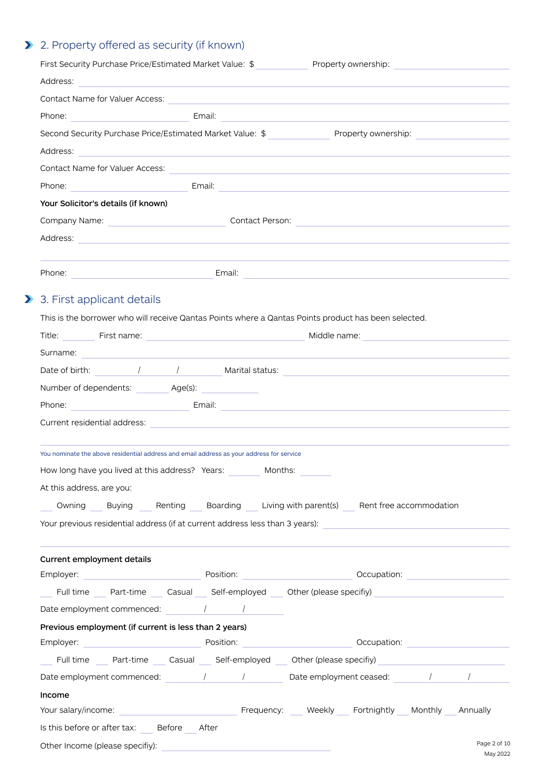# 2. Property offered as security (if known)

 $\sum$ 

| First Security Purchase Price/Estimated Market Value: \$                                                                                                                                                                             | Property ownership: |
|--------------------------------------------------------------------------------------------------------------------------------------------------------------------------------------------------------------------------------------|---------------------|
| Address: <u>contract and contract and contract and contract and contract and contract and contract and contract of the contract of the contract of the contract of the contract of the contract of the contract of the contract </u> |                     |
|                                                                                                                                                                                                                                      |                     |
| Phone: Email: Email: Email: Email: Phone 2014 19:30 19:30 19:30 19:30 19:30 19:30 19:30 19:30 19:30 19:30 19:30 19:30 19:30 19:30 19:30 19:30 19:30 19:30 19:30 19:30 19:30 19:30 19:30 19:30 19:30 19:30 19:30 19:30 19:30 19       |                     |
| Second Security Purchase Price/Estimated Market Value: \$ _______________________ Property ownership: __________________________________                                                                                             |                     |
| Address: 2008 2009 2009 2009 2009 2009 2009 2010 2020 2031 2040 2051 2062 2073 2084 2095 2009 2010 2011 2012 20                                                                                                                      |                     |
|                                                                                                                                                                                                                                      |                     |
|                                                                                                                                                                                                                                      |                     |
| Your Solicitor's details (if known)                                                                                                                                                                                                  |                     |
|                                                                                                                                                                                                                                      |                     |
|                                                                                                                                                                                                                                      |                     |
|                                                                                                                                                                                                                                      |                     |
|                                                                                                                                                                                                                                      |                     |
|                                                                                                                                                                                                                                      |                     |
| 3. First applicant details                                                                                                                                                                                                           |                     |
| This is the borrower who will receive Qantas Points where a Qantas Points product has been selected.                                                                                                                                 |                     |
|                                                                                                                                                                                                                                      |                     |
| Surname: <u>Executive Contract Communication</u> Contract Communication Communication Communication Communication Communication                                                                                                      |                     |
|                                                                                                                                                                                                                                      |                     |
| Number of dependents: Age(s):                                                                                                                                                                                                        |                     |
| Phone: Email: Email: Email: 2007 [2010]                                                                                                                                                                                              |                     |
| Current residential address: experience of the contract of the contract of the contract of the contract of the contract of the contract of the contract of the contract of the contract of the contract of the contract of the       |                     |
|                                                                                                                                                                                                                                      |                     |
| You nominate the above residential address and email address as your address for service                                                                                                                                             |                     |
| How long have you lived at this address? Years:<br>Months:                                                                                                                                                                           |                     |
| At this address, are you:                                                                                                                                                                                                            |                     |
| Owning Buying Renting Boarding Living with parent(s) Rent free accommodation                                                                                                                                                         |                     |
| Your previous residential address (if at current address less than 3 years): [16] The manner of the manner of                                                                                                                        |                     |
|                                                                                                                                                                                                                                      |                     |
| Current employment details                                                                                                                                                                                                           |                     |
|                                                                                                                                                                                                                                      |                     |
| Full time Part-time Casual Self-employed Other (please specifiy)                                                                                                                                                                     |                     |
| Date employment commenced: $\sqrt{2}$                                                                                                                                                                                                |                     |
| Previous employment (if current is less than 2 years)                                                                                                                                                                                |                     |
| Employer: Note and the Contract of Position: Note and the Contract of Contract of Contract of Contract of Contract of Contract of Contract of Contract of Contract of Contract of Contract of Contract of Contract of Contract       |                     |
| Full time Part-time Casual Self-employed Other (please specifiy)                                                                                                                                                                     |                     |
| Date employment commenced: $\qquad$ / $\qquad$ Date employment ceased: $\qquad$ / $\qquad$ /                                                                                                                                         |                     |
| Income                                                                                                                                                                                                                               |                     |
|                                                                                                                                                                                                                                      |                     |
| Is this before or after tax: Before After                                                                                                                                                                                            |                     |
| Other Income (please specifiy):                                                                                                                                                                                                      | Page 2 of 10        |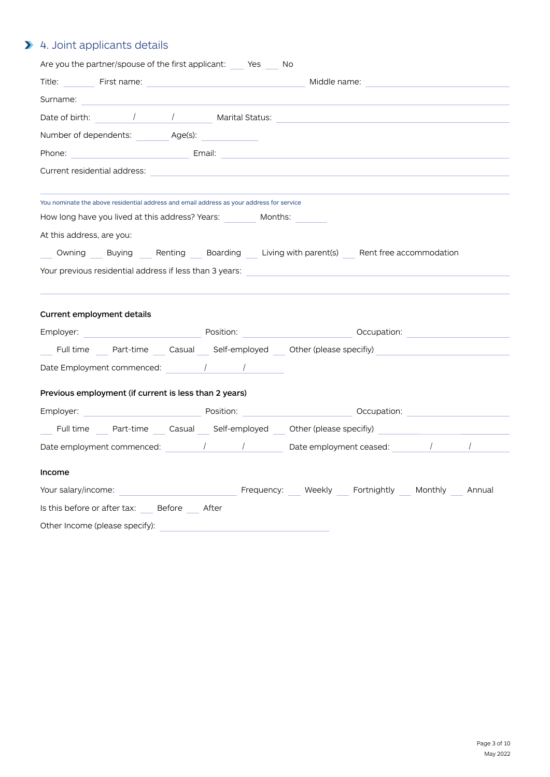# 4. Joint applicants details

| Are you the partner/spouse of the first applicant: Yes No                                |                                                                                                                                                                                                                                      |
|------------------------------------------------------------------------------------------|--------------------------------------------------------------------------------------------------------------------------------------------------------------------------------------------------------------------------------------|
|                                                                                          | Middle name: <u>contract and contract and contract and contract and contract and contract and contract and contract and contract and contract and contract and contract and contract and contract and contract and contract and </u> |
| Surname: Surname:                                                                        |                                                                                                                                                                                                                                      |
|                                                                                          |                                                                                                                                                                                                                                      |
| Number of dependents: Age(s):                                                            |                                                                                                                                                                                                                                      |
|                                                                                          | Phone: 2008. [2018] [2019] [2019] [2019] [2019] [2019] [2019] [2019] [2019] [2019] [2019] [2019] [2019] [2019] [2019] [2019] [2019] [2019] [2019] [2019] [2019] [2019] [2019] [2019] [2019] [2019] [2019] [2019] [2019] [2019]       |
|                                                                                          | Current residential address: experience of the contract of the contract of the contract of the contract of the                                                                                                                       |
| You nominate the above residential address and email address as your address for service |                                                                                                                                                                                                                                      |
| How long have you lived at this address? Years: Months:                                  |                                                                                                                                                                                                                                      |
| At this address, are you:                                                                |                                                                                                                                                                                                                                      |
|                                                                                          | Owning Buying Renting Boarding Living with parent(s) Rent free accommodation                                                                                                                                                         |
|                                                                                          | Your previous residential address if less than 3 years: [14] The Content of the Content of the Content of the Content of the Content of the Content of the Content of the Content of the Content of the Content of the Content       |
| Current employment details                                                               |                                                                                                                                                                                                                                      |
|                                                                                          |                                                                                                                                                                                                                                      |
|                                                                                          | Full time Part-time Casual Self-employed Other (please specifiy)                                                                                                                                                                     |
|                                                                                          |                                                                                                                                                                                                                                      |
| Previous employment (if current is less than 2 years)                                    |                                                                                                                                                                                                                                      |
|                                                                                          | Employer: example and the control of Position: the control of the Control of Company Control of the Control of Company Control of the Control of the Control of the Control of the Control of the Control of the Control of th       |
|                                                                                          | Full time Part-time Casual Self-employed Other (please specifiy)                                                                                                                                                                     |
|                                                                                          | Date employment commenced: $\sqrt{2}$ / Date employment ceased: $\sqrt{2}$ /                                                                                                                                                         |
| Income                                                                                   |                                                                                                                                                                                                                                      |
| Your salary/income:                                                                      | Frequency: Weekly Fortnightly Monthly Annual                                                                                                                                                                                         |
| Is this before or after tax: Before After                                                |                                                                                                                                                                                                                                      |
| Other Income (please specify):                                                           |                                                                                                                                                                                                                                      |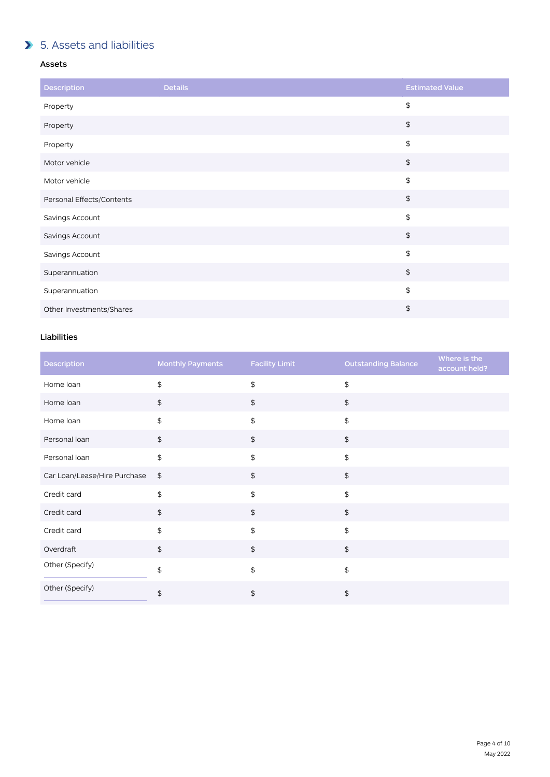# **5.** Assets and liabilities

#### Assets

| <b>Description</b>        | <b>Details</b> | <b>Estimated Value</b>                        |
|---------------------------|----------------|-----------------------------------------------|
| Property                  |                | \$                                            |
| Property                  |                | $\, \, \raisebox{12pt}{$\scriptstyle \$}$     |
| Property                  |                | \$                                            |
| Motor vehicle             |                | $\, \, \raisebox{12pt}{$\scriptstyle \circ$}$ |
| Motor vehicle             |                | \$                                            |
| Personal Effects/Contents |                | $\, \, \raisebox{12pt}{$\scriptstyle \circ$}$ |
| Savings Account           |                | \$                                            |
| Savings Account           |                | $\, \, \raisebox{12pt}{$\scriptstyle \circ$}$ |
| Savings Account           |                | \$                                            |
| Superannuation            |                | $\, \, \raisebox{12pt}{$\scriptstyle \circ$}$ |
| Superannuation            |                | \$                                            |
| Other Investments/Shares  |                | \$                                            |

### Liabilities

| <b>Description</b>           | <b>Monthly Payments</b>                           | <b>Facility Limit</b> | <b>Outstanding Balance</b> | Where is the<br>account held? |
|------------------------------|---------------------------------------------------|-----------------------|----------------------------|-------------------------------|
| Home loan                    | \$                                                | \$                    | \$                         |                               |
| Home loan                    | \$                                                | $\mathfrak{S}$        | \$                         |                               |
| Home loan                    | \$                                                | \$                    | \$                         |                               |
| Personal loan                | $\, \, \raisebox{-1.5pt}{\text{\circle*{1.5}}}\,$ | $\frac{1}{2}$         | \$                         |                               |
| Personal loan                | \$                                                | $\mathfrak{P}$        | \$                         |                               |
| Car Loan/Lease/Hire Purchase | $\frac{1}{2}$                                     | $\frac{1}{2}$         | \$                         |                               |
| Credit card                  | \$                                                | \$                    | \$                         |                               |
| Credit card                  | $\, \, \raisebox{-1.5pt}{\text{\circle*{1.5}}}\,$ | $\frac{1}{2}$         | \$                         |                               |
| Credit card                  | \$                                                | \$                    | \$                         |                               |
| Overdraft                    | \$                                                | $$\mathfrak{P}$$      | \$                         |                               |
| Other (Specify)              | \$                                                | \$                    | \$                         |                               |
| Other (Specify)              | \$                                                | \$                    | \$                         |                               |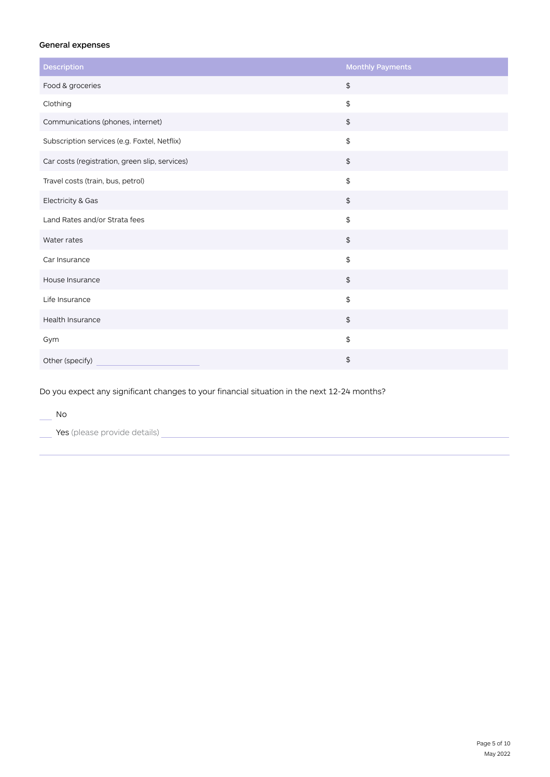#### General expenses

| <b>Description</b>                             | <b>Monthly Payments</b>                                 |
|------------------------------------------------|---------------------------------------------------------|
| Food & groceries                               | $\, \, \raisebox{-1.5pt}{\text{\circle*{1.5}}}\,$       |
| Clothing                                       | $\,$                                                    |
| Communications (phones, internet)              | $$\mathfrak{s}$$                                        |
| Subscription services (e.g. Foxtel, Netflix)   | $\, \, \raisebox{-1.5pt}{\ensuremath{\mathfrak{sp}}\,}$ |
| Car costs (registration, green slip, services) | $\, \, \raisebox{-1.5pt}{\ensuremath{\mathfrak{sp}}\,}$ |
| Travel costs (train, bus, petrol)              | $\, \, \raisebox{-1.5pt}{\ensuremath{\mathfrak{sp}}\,}$ |
| Electricity & Gas                              | $\, \, \raisebox{-1.5pt}{\ensuremath{\mathfrak{sp}}\,}$ |
| Land Rates and/or Strata fees                  | $\,$                                                    |
| Water rates                                    | $\, \, \raisebox{-1.5pt}{\ensuremath{\mathfrak{sp}}\,}$ |
| Car Insurance                                  | $\, \, \raisebox{-1.5pt}{\ensuremath{\mathfrak{sp}}\,}$ |
| House Insurance                                | $\, \, \raisebox{-1.5pt}{\ensuremath{\mathfrak{sp}}\,}$ |
| Life Insurance                                 | $\, \, \raisebox{-1.5pt}{\text{\circle*{1.5}}}\,$       |
| Health Insurance                               | $\, \, \raisebox{-1.5pt}{\ensuremath{\mathfrak{sp}}\,}$ |
| Gym                                            | $\,$                                                    |
| Other (specify)                                | \$                                                      |

Do you expect any significant changes to your financial situation in the next 12-24 months?

| No.                          |  |  |
|------------------------------|--|--|
| Yes (please provide details) |  |  |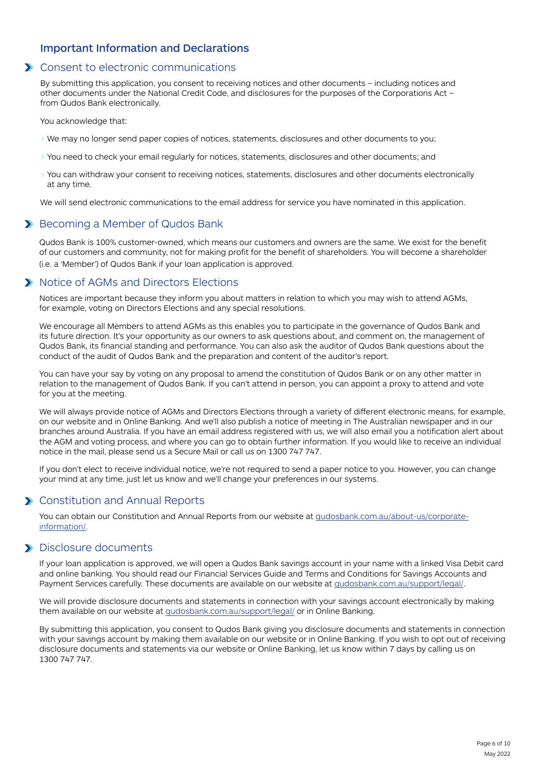### Important Information and Declarations

# **X** Consent to electronic communications

By submitting this application, you consent to receiving notices and other documents – including notices and other documents under the National Credit Code, and disclosures for the purposes of the Corporations Act – from Qudos Bank electronically.

You acknowledge that:

- > We may no longer send paper copies of notices, statements, disclosures and other documents to you;
- > You need to check your email regularly for notices, statements, disclosures and other documents; and
- > You can withdraw your consent to receiving notices, statements, disclosures and other documents electronically at any time.

We will send electronic communications to the email address for service you have nominated in this application.

# Becoming a Member of Qudos Bank

Qudos Bank is 100% customer-owned, which means our customers and owners are the same. We exist for the benefit of our customers and community, not for making profit for the benefit of shareholders. You will become a shareholder (i.e. a 'Member') of Qudos Bank if your loan application is approved.

# **X** Notice of AGMs and Directors Elections

Notices are important because they inform you about matters in relation to which you may wish to attend AGMs, for example, voting on Directors Elections and any special resolutions.

We encourage all Members to attend AGMs as this enables you to participate in the governance of Qudos Bank and its future direction. It's your opportunity as our owners to ask questions about, and comment on, the management of Qudos Bank, its financial standing and performance. You can also ask the auditor of Qudos Bank questions about the conduct of the audit of Qudos Bank and the preparation and content of the auditor's report.

You can have your say by voting on any proposal to amend the constitution of Qudos Bank or on any other matter in relation to the management of Qudos Bank. If you can't attend in person, you can appoint a proxy to attend and vote for you at the meeting.

We will always provide notice of AGMs and Directors Elections through a variety of different electronic means, for example, on our website and in Online Banking. And we'll also publish a notice of meeting in The Australian newspaper and in our branches around Australia. If you have an email address registered with us, we will also email you a notification alert about the AGM and voting process, and where you can go to obtain further information. If you would like to receive an individual notice in the mail, please send us a Secure Mail or call us on 1300 747 747.

If you don't elect to receive individual notice, we're not required to send a paper notice to you. However, you can change your mind at any time, just let us know and we'll change your preferences in our systems.

# **X** Constitution and Annual Reports

You can obtain our Constitution and Annual Reports from our website [at qudosbank.com.au/about-us/corporate](https://www.qudosbank.com.au/about-us/corporate-information/)[information/.](https://www.qudosbank.com.au/about-us/corporate-information/)

### **Disclosure documents**

If your loan application is approved, we will open a Qudos Bank savings account in your name with a linked Visa Debit card and online banking. You should read our Financial Services Guide and Terms and Conditions for Savings Accounts and Payment Services carefully. These documents are available on our website at [qudosbank.com.au/support/legal/.](https://www.qudosbank.com.au/support/legal/)

We will provide disclosure documents and statements in connection with your savings account electronically by making them available on our website at [qudosbank.com.au/support/legal/](https://www.qudosbank.com.au/support/legal/) or in Online Banking.

By submitting this application, you consent to Qudos Bank giving you disclosure documents and statements in connection with your savings account by making them available on our website or in Online Banking. If you wish to opt out of receiving disclosure documents and statements via our website or Online Banking, let us know within 7 days by calling us on 1300 747 747.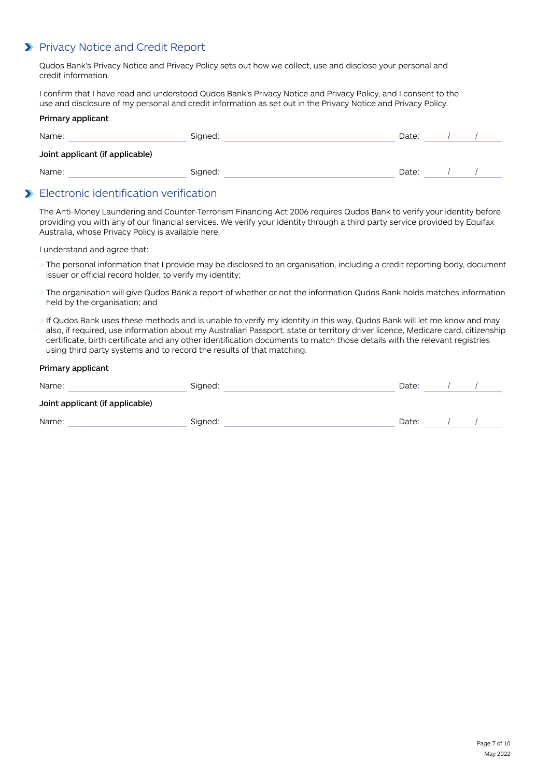# **>** Privacy Notice and Credit Report

Qudos Bank's Privacy Notice and Privacy Policy sets out how we collect, use and disclose your personal and credit information.

I confirm that I have read and understood Qudos Bank's Privacy Notice and Privacy Policy, and I consent to the use and disclosure of my personal and credit information as set out in the Privacy Notice and Privacy Policy.

#### Primary applicant

| Name:                           | Signed: | Date: |  |
|---------------------------------|---------|-------|--|
| Joint applicant (if applicable) |         |       |  |
| Name:                           | Signed: | Date: |  |

# Electronic identification verification

The Anti-Money Laundering and Counter-Terrorism Financing Act 2006 requires Qudos Bank to verify your identity before providing you with any of our financial services. We verify your identity through a third party service provided by Equifax Australia, whose Privacy Policy is available here.

I understand and agree that:

- > The personal information that I provide may be disclosed to an organisation, including a credit reporting body, document issuer or official record holder, to verify my identity;
- > The organisation will give Qudos Bank a report of whether or not the information Qudos Bank holds matches information held by the organisation; and
- > If Qudos Bank uses these methods and is unable to verify my identity in this way, Qudos Bank will let me know and may also, if required, use information about my Australian Passport, state or territory driver licence, Medicare card, citizenship certificate, birth certificate and any other identification documents to match those details with the relevant registries using third party systems and to record the results of that matching.

#### Primary applicant

| Name:                           | Signed: | Date: |  |
|---------------------------------|---------|-------|--|
| Joint applicant (if applicable) |         |       |  |
| Name:                           | Signed: | Date: |  |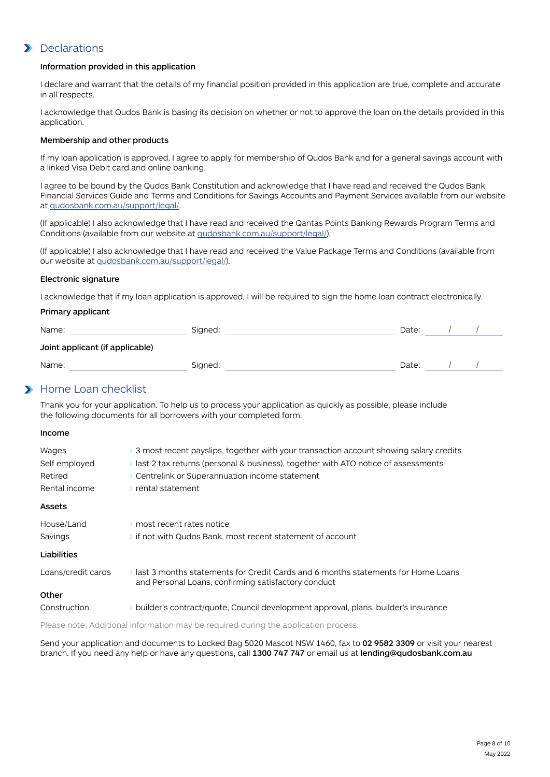# **Declarations**

#### Information provided in this application

I declare and warrant that the details of my financial position provided in this application are true, complete and accurate in all respects.

I acknowledge that Qudos Bank is basing its decision on whether or not to approve the loan on the details provided in this application.

#### Membership and other products

If my loan application is approved, I agree to apply for membership of Qudos Bank and for a general savings account with a linked Visa Debit card and online banking.

I agree to be bound by the Qudos Bank Constitution and acknowledge that I have read and received the Qudos Bank Financial Services Guide and Terms and Conditions for Savings Accounts and Payment Services available from our website at [qudosbank.com.au/support/legal/.](https://www.qudosbank.com.au/support/legal/)

(If applicable) I also acknowledge that I have read and received the Qantas Points Banking Rewards Program Terms and Conditions (available from our website at [qudosbank.com.au/support/legal/\)](https://www.qudosbank.com.au/support/legal/).

(If applicable) I also acknowledge that I have read and received the Value Package Terms and Conditions (available from our website at [qudosbank.com.au/support/legal/\)](https://www.qudosbank.com.au/support/legal/).

#### Electronic signature

I acknowledge that if my loan application is approved, I will be required to sign the home loan contract electronically.

#### Primary applicant

| Name:                           | Signed: | Date: |  |
|---------------------------------|---------|-------|--|
| Joint applicant (if applicable) |         |       |  |
| Name:                           | Signed: | Date: |  |

### **Home Loan checklist**

Thank you for your application. To help us to process your application as quickly as possible, please include the following documents for all borrowers with your completed form.

#### Income

| Wages<br>Self employed<br>Retired<br>Rental income | $\geq$ 3 most recent payslips, together with your transaction account showing salary credits<br>$\rightarrow$ last 2 tax returns (personal & business), together with ATO notice of assessments<br>$\geq$ Centrelink or Superannuation income statement<br>$\rightarrow$ rental statement |
|----------------------------------------------------|-------------------------------------------------------------------------------------------------------------------------------------------------------------------------------------------------------------------------------------------------------------------------------------------|
| Assets                                             |                                                                                                                                                                                                                                                                                           |
| House/Land<br>Savings                              | $\rightarrow$ most recent rates notice<br>$\rightarrow$ if not with Qudos Bank, most recent statement of account                                                                                                                                                                          |
| Liabilities                                        |                                                                                                                                                                                                                                                                                           |
| Loans/credit cards                                 | $\rightarrow$ last 3 months statements for Credit Cards and 6 months statements for Home Loans.<br>and Personal Loans, confirming satisfactory conduct                                                                                                                                    |
| Other                                              |                                                                                                                                                                                                                                                                                           |
| Construction                                       | $\rightarrow$ builder's contract/quote, Council development approval, plans, builder's insurance                                                                                                                                                                                          |

Please note: Additional information may be required during the application process.

Send your application and documents to Locked Bag 5020 Mascot NSW 1460, fax to 02 9582 3309 or visit your nearest branch. If you need any help or have any questions, call 1300 747 747 or email us at lending@qudosbank.com.au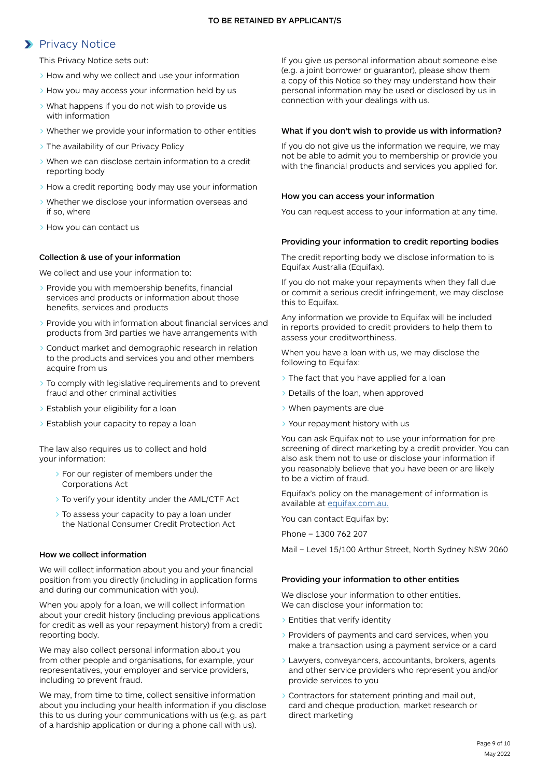# **>** Privacy Notice

This Privacy Notice sets out:

- > How and why we collect and use your information
- > How you may access your information held by us
- > What happens if you do not wish to provide us with information
- > Whether we provide your information to other entities
- > The availability of our Privacy Policy
- > When we can disclose certain information to a credit reporting body
- > How a credit reporting body may use your information
- > Whether we disclose your information overseas and if so, where
- > How you can contact us

#### Collection & use of your information

We collect and use your information to:

- > Provide you with membership benefits, financial services and products or information about those benefits, services and products
- > Provide you with information about financial services and products from 3rd parties we have arrangements with
- > Conduct market and demographic research in relation to the products and services you and other members acquire from us
- > To comply with legislative requirements and to prevent fraud and other criminal activities
- > Establish your eligibility for a loan
- > Establish your capacity to repay a loan

The law also requires us to collect and hold your information:

- > For our register of members under the Corporations Act
- > To verify your identity under the AML/CTF Act
- > To assess your capacity to pay a loan under the National Consumer Credit Protection Act

#### How we collect information

We will collect information about you and your financial position from you directly (including in application forms and during our communication with you).

When you apply for a loan, we will collect information about your credit history (including previous applications for credit as well as your repayment history) from a credit reporting body.

We may also collect personal information about you from other people and organisations, for example, your representatives, your employer and service providers, including to prevent fraud.

We may, from time to time, collect sensitive information about you including your health information if you disclose this to us during your communications with us (e.g. as part of a hardship application or during a phone call with us).

If you give us personal information about someone else (e.g. a joint borrower or guarantor), please show them a copy of this Notice so they may understand how their personal information may be used or disclosed by us in connection with your dealings with us.

#### What if you don't wish to provide us with information?

If you do not give us the information we require, we may not be able to admit you to membership or provide you with the financial products and services you applied for.

#### How you can access your information

You can request access to your information at any time.

#### Providing your information to credit reporting bodies

The credit reporting body we disclose information to is Equifax Australia (Equifax).

If you do not make your repayments when they fall due or commit a serious credit infringement, we may disclose this to Equifax.

Any information we provide to Equifax will be included in reports provided to credit providers to help them to assess your creditworthiness.

When you have a loan with us, we may disclose the following to Equifax:

- The fact that you have applied for a loan
- > Details of the loan, when approved
- > When payments are due
- > Your repayment history with us

You can ask Equifax not to use your information for prescreening of direct marketing by a credit provider. You can also ask them not to use or disclose your information if you reasonably believe that you have been or are likely to be a victim of fraud.

Equifax's policy on the management of information is available at [equifax.com.au.](http://equifax.com.au)

You can contact Equifax by:

Phone – 1300 762 207

Mail – Level 15/100 Arthur Street, North Sydney NSW 2060

#### Providing your information to other entities

We disclose your information to other entities. We can disclose your information to:

- > Entities that verify identity
- > Providers of payments and card services, when you make a transaction using a payment service or a card
- > Lawyers, conveyancers, accountants, brokers, agents and other service providers who represent you and/or provide services to you
- > Contractors for statement printing and mail out, card and cheque production, market research or direct marketing